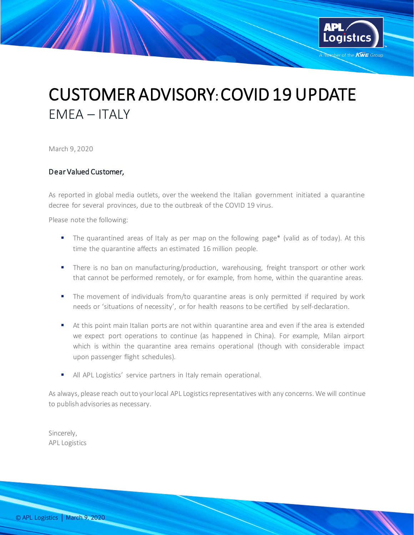

## CUSTOMER ADVISORY: COVID 19 UPDATE EMEA – ITALY

March 9, 2020

## Dear Valued Customer,

As reported in global media outlets, over the weekend the Italian government initiated a quarantine decree for several provinces, due to the outbreak of the COVID 19 virus.

Please note the following:

- The quarantined areas of Italy as per map on the following page\* (valid as of today). At this time the quarantine affects an estimated 16 million people.
- **There is no ban on manufacturing/production, warehousing, freight transport or other work** that cannot be performed remotely, or for example, from home, within the quarantine areas.
- **The movement of individuals from/to quarantine areas is only permitted if required by work** needs or 'situations of necessity', or for health reasons to be certified by self-declaration.
- At this point main Italian ports are not within quarantine area and even if the area is extended we expect port operations to continue (as happened in China). For example, Milan airport which is within the quarantine area remains operational (though with considerable impact upon passenger flight schedules).
- All APL Logistics' service partners in Italy remain operational.

As always, please reach out to your local APL Logistics representatives with any concerns. We will continue to publish advisories as necessary.

Sincerely, APL Logistics